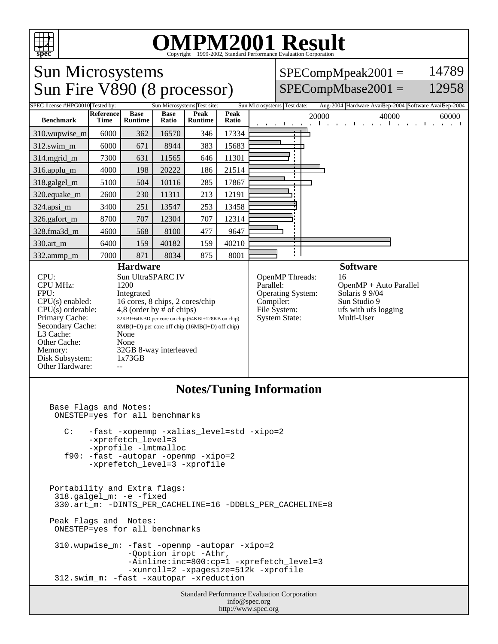

## OMPM2001 Result to Evaluation Corporation

## Sun Microsystems  $SPECompMpeak2001 =$ 14789 Sun Fire V890 (8 processor)  $SPECompMbase2001 =$ 12958 SPEC license #HPG0010 Tested by: Sun Microsystems Test site: Sun Microsystems Test date: Aug-2004 Hardware Avail: Sep-2004 Software Avail: **Reference Base Base Peak Peak Peak** 20000 40000 60000 60000 **Benchmark Runtime Time Ratio Runtime** 310.wupwise\_m 6000 362 16570 346 17334 312.swim\_m 6000 671 8944 383 15683 314.mgrid\_m | 7300 631 11565 646 11301 316.applu\_m 4000 198 20222 186 21514 318.galgel\_m | 5100 | 504 | 10116 | 285 | 17867 320.equake\_m | 2600 | 230 | 11311 | 213 | 12191 324.apsi\_m 3400 251 13547 253 13458 326.gafort\_m | 8700 | 707 | 12304 | 707 | 12314 328.fma3d\_m | 4600 | 568 | 8100 | 477 | 9647 330.art\_m 6400 159 40182 159 40210 ÷Ι 332.ammp\_m | 7000 | 871 | 8034 | 875 | 8001 **Hardware Software** CPU: Sun UltraSPARC IV<br>CPU MHz: 1200 OpenMP Threads: 16<br>Parallel: 0p CPU MHz: OpenMP + Auto Parallel<br>Solaris 9 9/04 FPU: Integrated Operating System:  $CPU(s)$  enabled: 16 cores, 8 chips, 2 cores/chip<br>CPU(s) orderable: 4,8 (order by # of chips) Compiler: Sun Studio 9<br>File System: ufs with ufs l CPU(s) orderable:  $4,8$  (order by # of chips)<br>Primary Cache:  $32KB1+64KBD$  per core on chip (64K ufs with ufs logging<br>Multi-User System State: Primary Cache: 32KBI+64KBD per core on chip (64KBI+128KB on chip)<br>Secondary Cache: 8MB(I+D) per core off chip (16MB(I+D) off chip) 8MB(I+D) per core off chip (16MB(I+D) off chip) L3 Cache: None<br>Other Cache: None Other Cache: Memory: 32GB 8-way interleaved<br>Disk Subsystem: 1x73GB Disk Subsystem: Other Hardware: **Notes/Tuning Information** Base Flags and Notes: ONESTEP=yes for all benchmarks C: -fast -xopenmp -xalias\_level=std -xipo=2 -xprefetch level=3 -xprofile -lmtmalloc f90: -fast -autopar -openmp -xipo=2 -xprefetch\_level=3 -xprofile Portability and Extra flags: 318.galgel\_m: -e -fixed 330.art\_m: -DINTS\_PER\_CACHELINE=16 -DDBLS\_PER\_CACHELINE=8 Peak Flags and Notes: ONESTEP=yes for all benchmarks 310.wupwise\_m: -fast -openmp -autopar -xipo=2 -Qoption iropt -Athr, -Ainline:inc=800:cp=1 -xprefetch\_level=3 -xunroll=2 -xpagesize=512k -xprofile 312.swim\_m: -fast -xautopar -xreduction Standard Performance Evaluation Corporation info@spec.org http://www.spec.org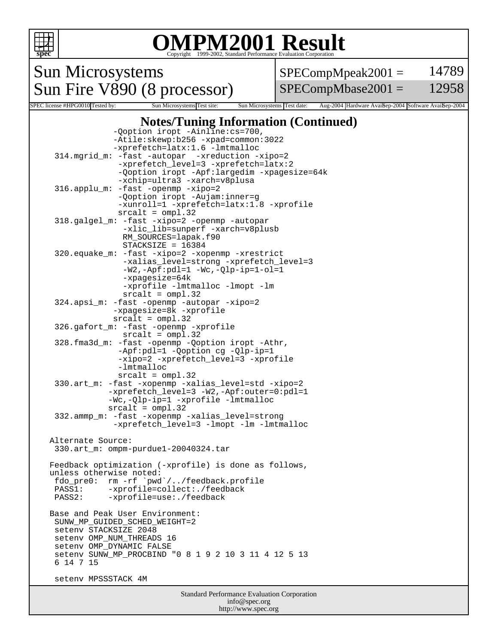

info@spec.org http://www.spec.org